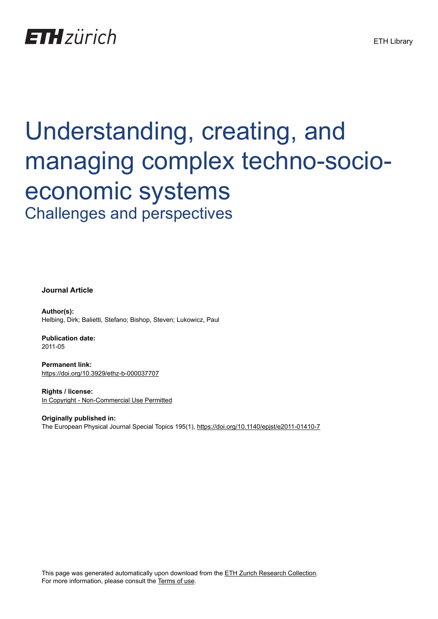

# Understanding, creating, and managing complex techno-socioeconomic systems Challenges and perspectives

**Journal Article**

**Author(s):** Helbing, Dirk; Balietti, Stefano; Bishop, Steven; Lukowicz, Paul

**Publication date:** 2011-05

**Permanent link:** <https://doi.org/10.3929/ethz-b-000037707>

**Rights / license:** [In Copyright - Non-Commercial Use Permitted](http://rightsstatements.org/page/InC-NC/1.0/)

**Originally published in:** The European Physical Journal Special Topics 195(1), <https://doi.org/10.1140/epjst/e2011-01410-7>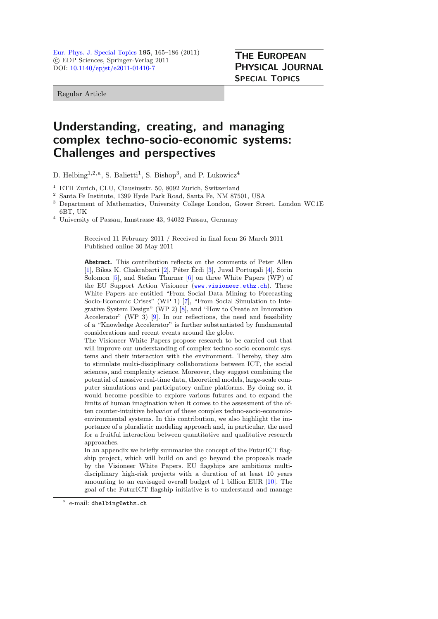Regular Article

# Understanding, creating, and managing complex techno-socio-economic systems: Challenges and perspectives

D. Helbing<sup>1,2,a</sup>, S. Balietti<sup>1</sup>, S. Bishop<sup>3</sup>, and P. Lukowicz<sup>4</sup>

<sup>1</sup> ETH Zurich, CLU, Clausiusstr. 50, 8092 Zurich, Switzerland

 $^2\,$  Santa Fe Institute, 1399 Hyde Park Road, Santa Fe, NM 87501, USA

<sup>3</sup> Department of Mathematics, University College London, Gower Street, London WC1E 6BT, UK

<sup>4</sup> University of Passau, Innstrasse 43, 94032 Passau, Germany

Received 11 February 2011 / Received in final form 26 March 2011 Published online 30 May 2011

Abstract. This contribution reflects on the comments of Peter Allen [\[1\]](#page-20-0), Bikas K. Chakrabarti [\[2\]](#page-20-1), Péter Érdi  $[3]$  $[3]$ , Juval Portugali [\[4\]](#page-20-3), Sorin Solomon [\[5\]](#page-20-4), and Stefan Thurner [\[6\]](#page-20-5) on three White Papers (WP) of the EU Support Action Visioneer (<www.visioneer.ethz.ch>). These White Papers are entitled "From Social Data Mining to Forecasting Socio-Economic Crises" (WP 1) [\[7\]](#page-20-6), "From Social Simulation to Integrative System Design" (WP 2) [\[8](#page-20-7)], and "How to Create an Innovation Accelerator" (WP 3) [\[9](#page-20-8)]. In our reflections, the need and feasibility of a "Knowledge Accelerator" is further substantiated by fundamental considerations and recent events around the globe.

The Visioneer White Papers propose research to be carried out that will improve our understanding of complex techno-socio-economic systems and their interaction with the environment. Thereby, they aim to stimulate multi-disciplinary collaborations between ICT, the social sciences, and complexity science. Moreover, they suggest combining the potential of massive real-time data, theoretical models, large-scale computer simulations and participatory online platforms. By doing so, it would become possible to explore various futures and to expand the limits of human imagination when it comes to the assessment of the often counter-intuitive behavior of these complex techno-socio-economicenvironmental systems. In this contribution, we also highlight the importance of a pluralistic modeling approach and, in particular, the need for a fruitful interaction between quantitative and qualitative research approaches.

In an appendix we briefly summarize the concept of the FuturICT flagship project, which will build on and go beyond the proposals made by the Visioneer White Papers. EU flagships are ambitious multidisciplinary high-risk projects with a duration of at least 10 years amounting to an envisaged overall budget of 1 billion EUR [\[10\]](#page-20-9). The goal of the FuturICT flagship initiative is to understand and manage

THE EUROPEAN PHYSICAL JOURNAL SPECIAL TOPICS

a e-mail: dhelbing@ethz.ch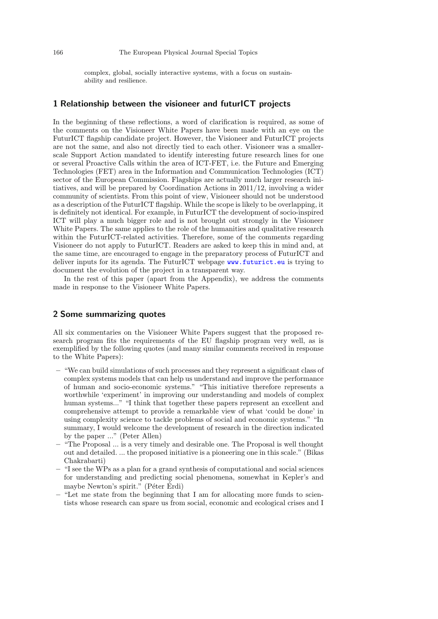#### 166 The European Physical Journal Special Topics

complex, global, socially interactive systems, with a focus on sustainability and resilience.

# 1 Relationship between the visioneer and futurICT projects

In the beginning of these reflections, a word of clarification is required, as some of the comments on the Visioneer White Papers have been made with an eye on the FuturICT flagship candidate project. However, the Visioneer and FuturICT projects are not the same, and also not directly tied to each other. Visioneer was a smallerscale Support Action mandated to identify interesting future research lines for one or several Proactive Calls within the area of ICT-FET, i.e. the Future and Emerging Technologies (FET) area in the Information and Communication Technologies (ICT) sector of the European Commission. Flagships are actually much larger research initiatives, and will be prepared by Coordination Actions in 2011/12, involving a wider community of scientists. From this point of view, Visioneer should not be understood as a description of the FuturICT flagship. While the scope is likely to be overlapping, it is definitely not identical. For example, in FuturICT the development of socio-inspired ICT will play a much bigger role and is not brought out strongly in the Visioneer White Papers. The same applies to the role of the humanities and qualitative research within the FuturICT-related activities. Therefore, some of the comments regarding Visioneer do not apply to FuturICT. Readers are asked to keep this in mind and, at the same time, are encouraged to engage in the preparatory process of FuturICT and deliver inputs for its agenda. The FuturICT webpage <www.futurict.eu> is trying to document the evolution of the project in a transparent way.

In the rest of this paper (apart from the Appendix), we address the comments made in response to the Visioneer White Papers.

# 2 Some summarizing quotes

All six commentaries on the Visioneer White Papers suggest that the proposed research program fits the requirements of the EU flagship program very well, as is exemplified by the following quotes (and many similar comments received in response to the White Papers):

- "We can build simulations of such processes and they represent a significant class of complex systems models that can help us understand and improve the performance of human and socio-economic systems." "This initiative therefore represents a worthwhile 'experiment' in improving our understanding and models of complex human systems..." "I think that together these papers represent an excellent and comprehensive attempt to provide a remarkable view of what 'could be done' in using complexity science to tackle problems of social and economic systems." "In summary, I would welcome the development of research in the direction indicated by the paper ..." (Peter Allen)
- "The Proposal ... is a very timely and desirable one. The Proposal is well thought out and detailed. ... the proposed initiative is a pioneering one in this scale." (Bikas Chakrabarti)
- "I see the WPs as a plan for a grand synthesis of computational and social sciences for understanding and predicting social phenomena, somewhat in Kepler's and maybe Newton's spirit." (Péter Érdi)
- "Let me state from the beginning that I am for allocating more funds to scientists whose research can spare us from social, economic and ecological crises and I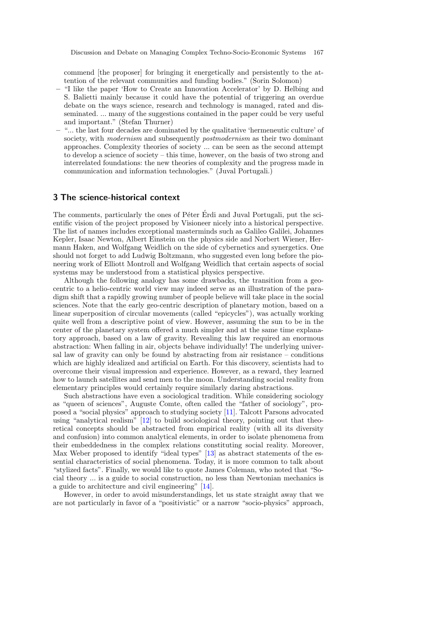commend [the proposer] for bringing it energetically and persistently to the attention of the relevant communities and funding bodies." (Sorin Solomon)

- "I like the paper 'How to Create an Innovation Accelerator' by D. Helbing and S. Balietti mainly because it could have the potential of triggering an overdue debate on the ways science, research and technology is managed, rated and disseminated. ... many of the suggestions contained in the paper could be very useful and important." (Stefan Thurner)
- "... the last four decades are dominated by the qualitative 'hermeneutic culture' of society, with *modernism* and subsequently *postmodernism* as their two dominant approaches. Complexity theories of society ... can be seen as the second attempt to develop a science of society – this time, however, on the basis of two strong and interrelated foundations: the new theories of complexity and the progress made in communication and information technologies." (Juval Portugali.)

# 3 The science-historical context

The comments, particularly the ones of Péter Érdi and Juval Portugali, put the scientific vision of the project proposed by Visioneer nicely into a historical perspective. The list of names includes exceptional masterminds such as Galileo Galilei, Johannes Kepler, Isaac Newton, Albert Einstein on the physics side and Norbert Wiener, Hermann Haken, and Wolfgang Weidlich on the side of cybernetics and synergetics. One should not forget to add Ludwig Boltzmann, who suggested even long before the pioneering work of Elliott Montroll and Wolfgang Weidlich that certain aspects of social systems may be understood from a statistical physics perspective.

Although the following analogy has some drawbacks, the transition from a geocentric to a helio-centric world view may indeed serve as an illustration of the paradigm shift that a rapidly growing number of people believe will take place in the social sciences. Note that the early geo-centric description of planetary motion, based on a linear superposition of circular movements (called "epicycles"), was actually working quite well from a descriptive point of view. However, assuming the sun to be in the center of the planetary system offered a much simpler and at the same time explanatory approach, based on a law of gravity. Revealing this law required an enormous abstraction: When falling in air, objects behave individually! The underlying universal law of gravity can only be found by abstracting from air resistance – conditions which are highly idealized and artificial on Earth. For this discovery, scientists had to overcome their visual impression and experience. However, as a reward, they learned how to launch satellites and send men to the moon. Understanding social reality from elementary principles would certainly require similarly daring abstractions.

Such abstractions have even a sociological tradition. While considering sociology as "queen of sciences", Auguste Comte, often called the "father of sociology", proposed a "social physics" approach to studying society [\[11\]](#page-20-10). Talcott Parsons advocated using "analytical realism" [\[12](#page-20-11)] to build sociological theory, pointing out that theoretical concepts should be abstracted from empirical reality (with all its diversity and confusion) into common analytical elements, in order to isolate phenomena from their embeddedness in the complex relations constituting social reality. Moreover, Max Weber proposed to identify "ideal types" [\[13\]](#page-20-12) as abstract statements of the essential characteristics of social phenomena. Today, it is more common to talk about "stylized facts". Finally, we would like to quote James Coleman, who noted that "Social theory ... is a guide to social construction, no less than Newtonian mechanics is a guide to architecture and civil engineering" [\[14](#page-20-13)].

However, in order to avoid misunderstandings, let us state straight away that we are not particularly in favor of a "positivistic" or a narrow "socio-physics" approach,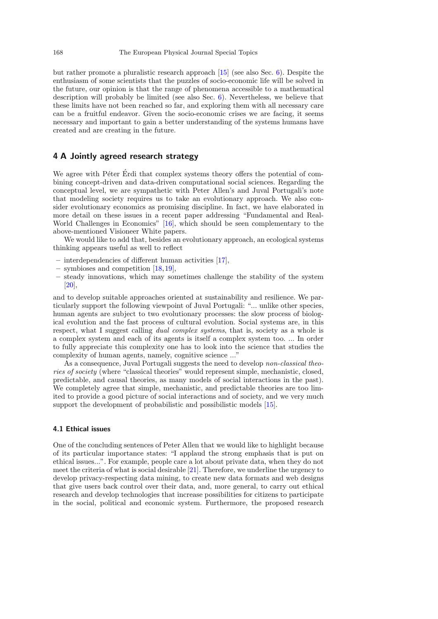but rather promote a pluralistic research approach [\[15\]](#page-20-14) (see also Sec. [6\)](#page-12-0). Despite the enthusiasm of some scientists that the puzzles of socio-economic life will be solved in the future, our opinion is that the range of phenomena accessible to a mathematical description will probably be limited (see also Sec. [6\)](#page-12-0). Nevertheless, we believe that these limits have not been reached so far, and exploring them with all necessary care can be a fruitful endeavor. Given the socio-economic crises we are facing, it seems necessary and important to gain a better understanding of the systems humans have created and are creating in the future.

# 4 A Jointly agreed research strategy

We agree with Péter Érdi that complex systems theory offers the potential of combining concept-driven and data-driven computational social sciences. Regarding the conceptual level, we are sympathetic with Peter Allen's and Juval Portugali's note that modeling society requires us to take an evolutionary approach. We also consider evolutionary economics as promising discipline. In fact, we have elaborated in more detail on these issues in a recent paper addressing "Fundamental and Real-World Challenges in Economics" [\[16\]](#page-20-15), which should be seen complementary to the above-mentioned Visioneer White papers.

We would like to add that, besides an evolutionary approach, an ecological systems thinking appears useful as well to reflect

- interdependencies of different human activities [\[17](#page-20-16)],
- symbioses and competition  $[18,19]$  $[18,19]$  $[18,19]$ ,
- steady innovations, which may sometimes challenge the stability of the system [\[20\]](#page-20-19),

and to develop suitable approaches oriented at sustainability and resilience. We particularly support the following viewpoint of Juval Portugali: "... unlike other species, human agents are subject to two evolutionary processes: the slow process of biological evolution and the fast process of cultural evolution. Social systems are, in this respect, what I suggest calling *dual complex systems*, that is, society as a whole is a complex system and each of its agents is itself a complex system too. ... In order to fully appreciate this complexity one has to look into the science that studies the complexity of human agents, namely, cognitive science ..."

As a consequence, Juval Portugali suggests the need to develop non-classical theories of society (where "classical theories" would represent simple, mechanistic, closed, predictable, and causal theories, as many models of social interactions in the past). We completely agree that simple, mechanistic, and predictable theories are too limited to provide a good picture of social interactions and of society, and we very much support the development of probabilistic and possibilistic models [\[15\]](#page-20-14).

#### <span id="page-4-0"></span>4.1 Ethical issues

One of the concluding sentences of Peter Allen that we would like to highlight because of its particular importance states: "I applaud the strong emphasis that is put on ethical issues...". For example, people care a lot about private data, when they do not meet the criteria of what is social desirable [\[21](#page-20-20)]. Therefore, we underline the urgency to develop privacy-respecting data mining, to create new data formats and web designs that give users back control over their data, and, more general, to carry out ethical research and develop technologies that increase possibilities for citizens to participate in the social, political and economic system. Furthermore, the proposed research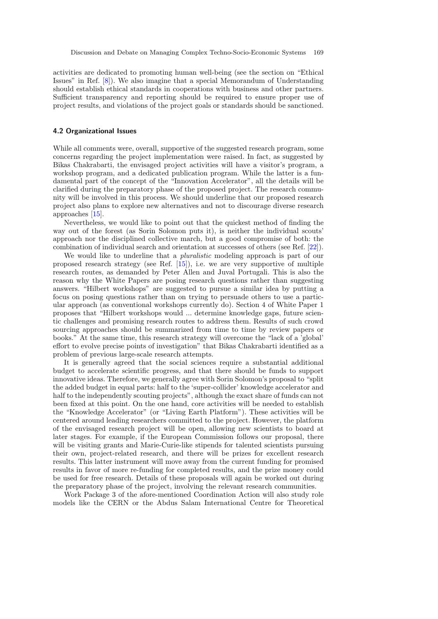activities are dedicated to promoting human well-being (see the section on "Ethical Issues" in Ref. [\[8](#page-20-7)]). We also imagine that a special Memorandum of Understanding should establish ethical standards in cooperations with business and other partners. Sufficient transparency and reporting should be required to ensure proper use of project results, and violations of the project goals or standards should be sanctioned.

#### 4.2 Organizational Issues

While all comments were, overall, supportive of the suggested research program, some concerns regarding the project implementation were raised. In fact, as suggested by Bikas Chakrabarti, the envisaged project activities will have a visitor's program, a workshop program, and a dedicated publication program. While the latter is a fundamental part of the concept of the "Innovation Accelerator", all the details will be clarified during the preparatory phase of the proposed project. The research community will be involved in this process. We should underline that our proposed research project also plans to explore new alternatives and not to discourage diverse research approaches [\[15](#page-20-14)].

Nevertheless, we would like to point out that the quickest method of finding the way out of the forest (as Sorin Solomon puts it), is neither the individual scouts' approach nor the disciplined collective march, but a good compromise of both: the combination of individual search and orientation at successes of others (see Ref. [\[22](#page-20-21)]).

We would like to underline that a *pluralistic* modeling approach is part of our proposed research strategy (see Ref. [\[15\]](#page-20-14)), i.e. we are very supportive of multiple research routes, as demanded by Peter Allen and Juval Portugali. This is also the reason why the White Papers are posing research questions rather than suggesting answers. "Hilbert workshops" are suggested to pursue a similar idea by putting a focus on posing questions rather than on trying to persuade others to use a particular approach (as conventional workshops currently do). Section 4 of White Paper 1 proposes that "Hilbert workshops would ... determine knowledge gaps, future scientic challenges and promising research routes to address them. Results of such crowd sourcing approaches should be summarized from time to time by review papers or books." At the same time, this research strategy will overcome the "lack of a 'global' effort to evolve precise points of investigation" that Bikas Chakrabarti identified as a problem of previous large-scale research attempts.

It is generally agreed that the social sciences require a substantial additional budget to accelerate scientific progress, and that there should be funds to support innovative ideas. Therefore, we generally agree with Sorin Solomon's proposal to "split the added budget in equal parts: half to the 'super-collider' knowledge accelerator and half to the independently scouting projects", although the exact share of funds can not been fixed at this point. On the one hand, core activities will be needed to establish the "Knowledge Accelerator" (or "Living Earth Platform"). These activities will be centered around leading researchers committed to the project. However, the platform of the envisaged research project will be open, allowing new scientists to board at later stages. For example, if the European Commission follows our proposal, there will be visiting grants and Marie-Curie-like stipends for talented scientists pursuing their own, project-related research, and there will be prizes for excellent research results. This latter instrument will move away from the current funding for promised results in favor of more re-funding for completed results, and the prize money could be used for free research. Details of these proposals will again be worked out during the preparatory phase of the project, involving the relevant research communities.

Work Package 3 of the afore-mentioned Coordination Action will also study role models like the CERN or the Abdus Salam International Centre for Theoretical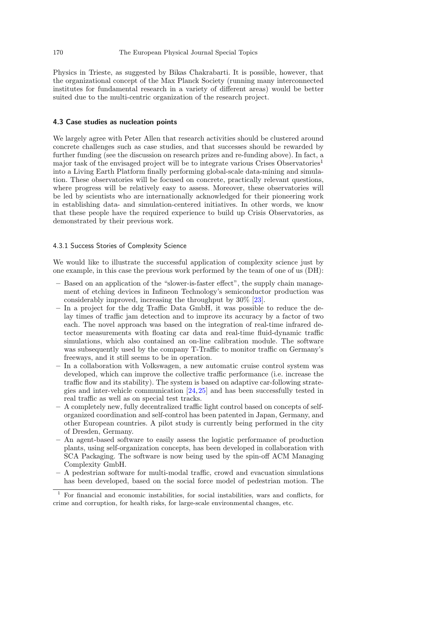Physics in Trieste, as suggested by Bikas Chakrabarti. It is possible, however, that the organizational concept of the Max Planck Society (running many interconnected institutes for fundamental research in a variety of different areas) would be better suited due to the multi-centric organization of the research project.

#### 4.3 Case studies as nucleation points

We largely agree with Peter Allen that research activities should be clustered around concrete challenges such as case studies, and that successes should be rewarded by further funding (see the discussion on research prizes and re-funding above). In fact, a major task of the envisaged project will be to integrate various Crises Observatories<sup>1</sup> into a Living Earth Platform finally performing global-scale data-mining and simulation. These observatories will be focused on concrete, practically relevant questions, where progress will be relatively easy to assess. Moreover, these observatories will be led by scientists who are internationally acknowledged for their pioneering work in establishing data- and simulation-centered initiatives. In other words, we know that these people have the required experience to build up Crisis Observatories, as demonstrated by their previous work.

# 4.3.1 Success Stories of Complexity Science

We would like to illustrate the successful application of complexity science just by one example, in this case the previous work performed by the team of one of us (DH):

- Based on an application of the "slower-is-faster effect", the supply chain management of etching devices in Infineon Technology's semiconductor production was considerably improved, increasing the throughput by 30% [\[23](#page-20-22)].
- In a project for the ddg Traffic Data GmbH, it was possible to reduce the delay times of traffic jam detection and to improve its accuracy by a factor of two each. The novel approach was based on the integration of real-time infrared detector measurements with floating car data and real-time fluid-dynamic traffic simulations, which also contained an on-line calibration module. The software was subsequently used by the company T-Traffic to monitor traffic on Germany's freeways, and it still seems to be in operation.
- In a collaboration with Volkswagen, a new automatic cruise control system was developed, which can improve the collective traffic performance (i.e. increase the traffic flow and its stability). The system is based on adaptive car-following strategies and inter-vehicle communication [\[24,](#page-20-23)[25](#page-20-24)] and has been successfully tested in real traffic as well as on special test tracks.
- A completely new, fully decentralized traffic light control based on concepts of selforganized coordination and self-control has been patented in Japan, Germany, and other European countries. A pilot study is currently being performed in the city of Dresden, Germany.
- An agent-based software to easily assess the logistic performance of production plants, using self-organization concepts, has been developed in collaboration with SCA Packaging. The software is now being used by the spin-off ACM Managing Complexity GmbH.
- A pedestrian software for multi-modal traffic, crowd and evacuation simulations has been developed, based on the social force model of pedestrian motion. The

<sup>&</sup>lt;sup>1</sup> For financial and economic instabilities, for social instabilities, wars and conflicts, for crime and corruption, for health risks, for large-scale environmental changes, etc.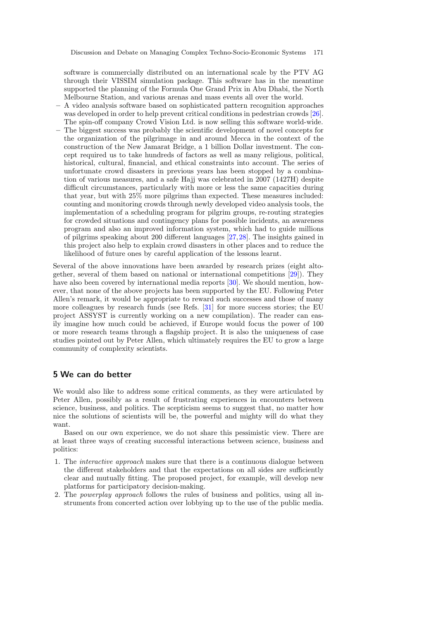software is commercially distributed on an international scale by the PTV AG through their VISSIM simulation package. This software has in the meantime supported the planning of the Formula One Grand Prix in Abu Dhabi, the North Melbourne Station, and various arenas and mass events all over the world.

- A video analysis software based on sophisticated pattern recognition approaches was developed in order to help prevent critical conditions in pedestrian crowds [\[26](#page-20-25)]. The spin-off company Crowd Vision Ltd. is now selling this software world-wide.
- The biggest success was probably the scientific development of novel concepts for the organization of the pilgrimage in and around Mecca in the context of the construction of the New Jamarat Bridge, a 1 billion Dollar investment. The concept required us to take hundreds of factors as well as many religious, political, historical, cultural, financial, and ethical constraints into account. The series of unfortunate crowd disasters in previous years has been stopped by a combination of various measures, and a safe Hajj was celebrated in 2007 (1427H) despite difficult circumstances, particularly with more or less the same capacities during that year, but with 25% more pilgrims than expected. These measures included: counting and monitoring crowds through newly developed video analysis tools, the implementation of a scheduling program for pilgrim groups, re-routing strategies for crowded situations and contingency plans for possible incidents, an awareness program and also an improved information system, which had to guide millions of pilgrims speaking about 200 different languages [\[27,](#page-21-0)[28\]](#page-21-1). The insights gained in this project also help to explain crowd disasters in other places and to reduce the likelihood of future ones by careful application of the lessons learnt.

Several of the above innovations have been awarded by research prizes (eight altogether, several of them based on national or international competitions [\[29\]](#page-21-2)). They have also been covered by international media reports [\[30](#page-21-3)]. We should mention, however, that none of the above projects has been supported by the EU. Following Peter Allen's remark, it would be appropriate to reward such successes and those of many more colleagues by research funds (see Refs. [\[31\]](#page-21-4) for more success stories; the EU project ASSYST is currently working on a new compilation). The reader can easily imagine how much could be achieved, if Europe would focus the power of 100 or more research teams through a flagship project. It is also the uniqueness of case studies pointed out by Peter Allen, which ultimately requires the EU to grow a large community of complexity scientists.

# 5 We can do better

We would also like to address some critical comments, as they were articulated by Peter Allen, possibly as a result of frustrating experiences in encounters between science, business, and politics. The scepticism seems to suggest that, no matter how nice the solutions of scientists will be, the powerful and mighty will do what they want.

Based on our own experience, we do not share this pessimistic view. There are at least three ways of creating successful interactions between science, business and politics:

- 1. The interactive approach makes sure that there is a continuous dialogue between the different stakeholders and that the expectations on all sides are sufficiently clear and mutually fitting. The proposed project, for example, will develop new platforms for participatory decision-making.
- 2. The powerplay approach follows the rules of business and politics, using all instruments from concerted action over lobbying up to the use of the public media.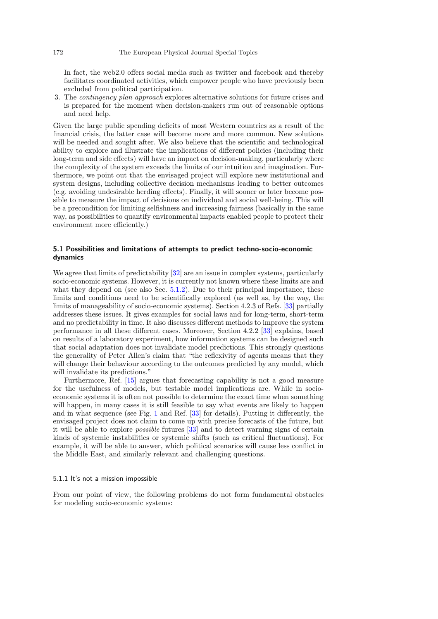In fact, the web2.0 offers social media such as twitter and facebook and thereby facilitates coordinated activities, which empower people who have previously been excluded from political participation.

3. The contingency plan approach explores alternative solutions for future crises and is prepared for the moment when decision-makers run out of reasonable options and need help.

Given the large public spending deficits of most Western countries as a result of the financial crisis, the latter case will become more and more common. New solutions will be needed and sought after. We also believe that the scientific and technological ability to explore and illustrate the implications of different policies (including their long-term and side effects) will have an impact on decision-making, particularly where the complexity of the system exceeds the limits of our intuition and imagination. Furthermore, we point out that the envisaged project will explore new institutional and system designs, including collective decision mechanisms leading to better outcomes (e.g. avoiding undesirable herding effects). Finally, it will sooner or later become possible to measure the impact of decisions on individual and social well-being. This will be a precondition for limiting selfishness and increasing fairness (basically in the same way, as possibilities to quantify environmental impacts enabled people to protect their environment more efficiently.)

#### 5.1 Possibilities and limitations of attempts to predict techno-socio-economic dynamics

We agree that limits of predictability [\[32\]](#page-21-5) are an issue in complex systems, particularly socio-economic systems. However, it is currently not known where these limits are and what they depend on (see also Sec. [5.1.2\)](#page-10-0). Due to their principal importance, these limits and conditions need to be scientifically explored (as well as, by the way, the limits of manageability of socio-economic systems). Section 4.2.3 of Refs. [\[33\]](#page-21-6) partially addresses these issues. It gives examples for social laws and for long-term, short-term and no predictability in time. It also discusses different methods to improve the system performance in all these different cases. Moreover, Section 4.2.2 [\[33](#page-21-6)] explains, based on results of a laboratory experiment, how information systems can be designed such that social adaptation does not invalidate model predictions. This strongly questions the generality of Peter Allen's claim that "the reflexivity of agents means that they will change their behaviour according to the outcomes predicted by any model, which will invalidate its predictions."

Furthermore, Ref. [\[15\]](#page-20-14) argues that forecasting capability is not a good measure for the usefulness of models, but testable model implications are. While in socioeconomic systems it is often not possible to determine the exact time when something will happen, in many cases it is still feasible to say what events are likely to happen and in what sequence (see Fig. [1](#page-19-0) and Ref. [\[33](#page-21-6)] for details). Putting it differently, the envisaged project does not claim to come up with precise forecasts of the future, but it will be able to explore possible futures [\[33\]](#page-21-6) and to detect warning signs of certain kinds of systemic instabilities or systemic shifts (such as critical fluctuations). For example, it will be able to answer, which political scenarios will cause less conflict in the Middle East, and similarly relevant and challenging questions.

#### <span id="page-8-0"></span>5.1.1 It's not a mission impossible

From our point of view, the following problems do not form fundamental obstacles for modeling socio-economic systems: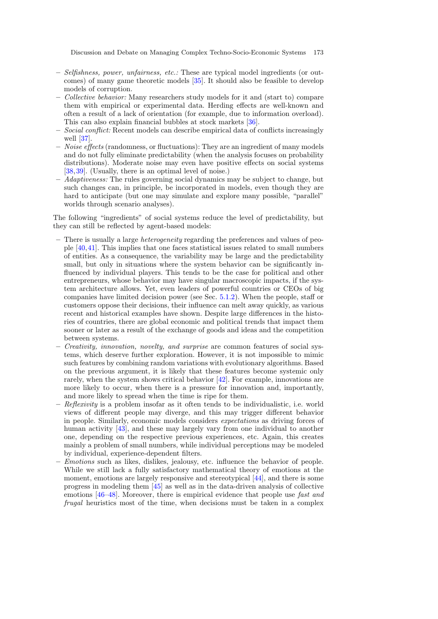- Selfishness, power, unfairness, etc.: These are typical model ingredients (or outcomes) of many game theoretic models [\[35\]](#page-21-7). It should also be feasible to develop models of corruption.
- Collective behavior: Many researchers study models for it and (start to) compare them with empirical or experimental data. Herding effects are well-known and often a result of a lack of orientation (for example, due to information overload). This can also explain financial bubbles at stock markets [\[36](#page-21-8)].
- $-$  Social conflict: Recent models can describe empirical data of conflicts increasingly well [\[37\]](#page-21-9).
- $-$  *Noise effects* (randomness, or fluctuations): They are an ingredient of many models and do not fully eliminate predictability (when the analysis focuses on probability distributions). Moderate noise may even have positive effects on social systems [\[38](#page-21-10)[,39](#page-21-11)]. (Usually, there is an optimal level of noise.)
- $-$  Adaptiveness: The rules governing social dynamics may be subject to change, but such changes can, in principle, be incorporated in models, even though they are hard to anticipate (but one may simulate and explore many possible, "parallel" worlds through scenario analyses).

The following "ingredients" of social systems reduce the level of predictability, but they can still be reflected by agent-based models:

- $-$  There is usually a large *heterogeneity* regarding the preferences and values of people [\[40](#page-21-12)[,41](#page-21-13)]. This implies that one faces statistical issues related to small numbers of entities. As a consequence, the variability may be large and the predictability small, but only in situations where the system behavior can be significantly influenced by individual players. This tends to be the case for political and other entrepreneurs, whose behavior may have singular macroscopic impacts, if the system architecture allows. Yet, even leaders of powerful countries or CEOs of big companies have limited decision power (see Sec. [5.1.2\)](#page-10-0). When the people, staff or customers oppose their decisions, their influence can melt away quickly, as various recent and historical examples have shown. Despite large differences in the histories of countries, there are global economic and political trends that impact them sooner or later as a result of the exchange of goods and ideas and the competition between systems.
- $-$  Creativity, innovation, novelty, and surprise are common features of social systems, which deserve further exploration. However, it is not impossible to mimic such features by combining random variations with evolutionary algorithms. Based on the previous argument, it is likely that these features become systemic only rarely, when the system shows critical behavior [\[42\]](#page-21-14). For example, innovations are more likely to occur, when there is a pressure for innovation and, importantly, and more likely to spread when the time is ripe for them.
- Reflexivity is a problem insofar as it often tends to be individualistic, i.e. world views of different people may diverge, and this may trigger different behavior in people. Similarly, economic models considers expectations as driving forces of human activity [\[43](#page-21-15)], and these may largely vary from one individual to another one, depending on the respective previous experiences, etc. Again, this creates mainly a problem of small numbers, while individual perceptions may be modeled by individual, experience-dependent filters.
- Emotions such as likes, dislikes, jealousy, etc. influence the behavior of people. While we still lack a fully satisfactory mathematical theory of emotions at the moment, emotions are largely responsive and stereotypical [\[44](#page-21-16)], and there is some progress in modeling them [\[45](#page-21-17)] as well as in the data-driven analysis of collective emotions [\[46](#page-21-18)[–48](#page-21-19)]. Moreover, there is empirical evidence that people use fast and frugal heuristics most of the time, when decisions must be taken in a complex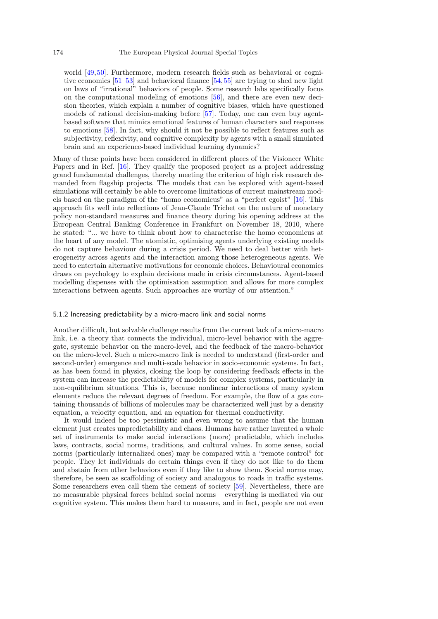world [\[49,](#page-21-20)[50\]](#page-21-21). Furthermore, modern research fields such as behavioral or cognitive economics [\[51](#page-21-22)[–53\]](#page-21-23) and behavioral finance [\[54](#page-21-24),[55\]](#page-21-25) are trying to shed new light on laws of "irrational" behaviors of people. Some research labs specifically focus on the computational modeling of emotions [\[56](#page-21-26)], and there are even new decision theories, which explain a number of cognitive biases, which have questioned models of rational decision-making before [\[57](#page-21-27)]. Today, one can even buy agentbased software that mimics emotional features of human characters and responses to emotions [\[58\]](#page-21-28). In fact, why should it not be possible to reflect features such as subjectivity, reflexivity, and cognitive complexity by agents with a small simulated brain and an experience-based individual learning dynamics?

Many of these points have been considered in different places of the Visioneer White Papers and in Ref. [\[16](#page-20-15)]. They qualify the proposed project as a project addressing grand fundamental challenges, thereby meeting the criterion of high risk research demanded from flagship projects. The models that can be explored with agent-based simulations will certainly be able to overcome limitations of current mainstream models based on the paradigm of the "homo economicus" as a "perfect egoist" [\[16](#page-20-15)]. This approach fits well into reflections of Jean-Claude Trichet on the nature of monetary policy non-standard measures and finance theory during his opening address at the European Central Banking Conference in Frankfurt on November 18, 2010, where he stated: "... we have to think about how to characterise the homo economicus at the heart of any model. The atomistic, optimising agents underlying existing models do not capture behaviour during a crisis period. We need to deal better with heterogeneity across agents and the interaction among those heterogeneous agents. We need to entertain alternative motivations for economic choices. Behavioural economics draws on psychology to explain decisions made in crisis circumstances. Agent-based modelling dispenses with the optimisation assumption and allows for more complex interactions between agents. Such approaches are worthy of our attention."

#### <span id="page-10-0"></span>5.1.2 Increasing predictability by a micro-macro link and social norms

Another difficult, but solvable challenge results from the current lack of a micro-macro link, i.e. a theory that connects the individual, micro-level behavior with the aggregate, systemic behavior on the macro-level, and the feedback of the macro-behavior on the micro-level. Such a micro-macro link is needed to understand (first-order and second-order) emergence and multi-scale behavior in socio-economic systems. In fact, as has been found in physics, closing the loop by considering feedback effects in the system can increase the predictability of models for complex systems, particularly in non-equilibrium situations. This is, because nonlinear interactions of many system elements reduce the relevant degrees of freedom. For example, the flow of a gas containing thousands of billions of molecules may be characterized well just by a density equation, a velocity equation, and an equation for thermal conductivity.

It would indeed be too pessimistic and even wrong to assume that the human element just creates unpredictability and chaos. Humans have rather invented a whole set of instruments to make social interactions (more) predictable, which includes laws, contracts, social norms, traditions, and cultural values. In some sense, social norms (particularly internalized ones) may be compared with a "remote control" for people. They let individuals do certain things even if they do not like to do them and abstain from other behaviors even if they like to show them. Social norms may, therefore, be seen as scaffolding of society and analogous to roads in traffic systems. Some researchers even call them the cement of society [\[59\]](#page-21-29). Nevertheless, there are no measurable physical forces behind social norms – everything is mediated via our cognitive system. This makes them hard to measure, and in fact, people are not even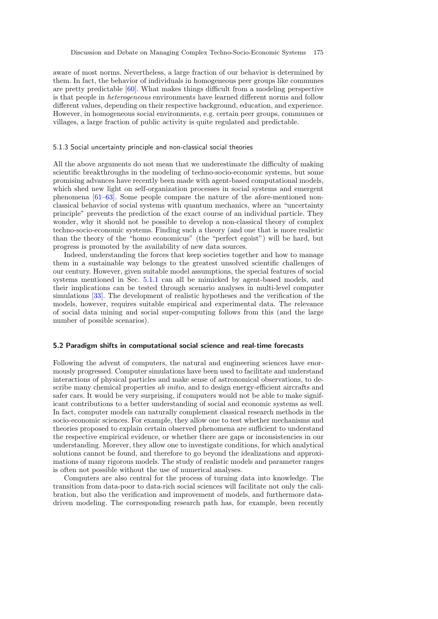aware of most norms. Nevertheless, a large fraction of our behavior is determined by them. In fact, the behavior of individuals in homogeneous peer groups like communes are pretty predictable [\[60\]](#page-21-30). What makes things difficult from a modeling perspective is that people in heterogeneous environments have learned different norms and follow different values, depending on their respective background, education, and experience. However, in homogeneous social environments, e.g. certain peer groups, communes or villages, a large fraction of public activity is quite regulated and predictable.

#### 5.1.3 Social uncertainty principle and non-classical social theories

All the above arguments do not mean that we underestimate the difficulty of making scientific breakthroughs in the modeling of techno-socio-economic systems, but some promising advances have recently been made with agent-based computational models, which shed new light on self-organization processes in social systems and emergent phenomena [\[61](#page-21-31)[–63](#page-22-0)]. Some people compare the nature of the afore-mentioned nonclassical behavior of social systems with quantum mechanics, where an "uncertainty principle" prevents the prediction of the exact course of an individual particle. They wonder, why it should not be possible to develop a non-classical theory of complex techno-socio-economic systems. Finding such a theory (and one that is more realistic than the theory of the "homo economicus" (the "perfect egoist") will be hard, but progress is promoted by the availability of new data sources.

Indeed, understanding the forces that keep societies together and how to manage them in a sustainable way belongs to the greatest unsolved scientific challenges of our century. However, given suitable model assumptions, the special features of social systems mentioned in Sec. [5.1.1](#page-8-0) can all be mimicked by agent-based models, and their implications can be tested through scenario analyses in multi-level computer simulations [\[33](#page-21-6)]. The development of realistic hypotheses and the verification of the models, however, requires suitable empirical and experimental data. The relevance of social data mining and social super-computing follows from this (and the large number of possible scenarios).

#### 5.2 Paradigm shifts in computational social science and real-time forecasts

Following the advent of computers, the natural and engineering sciences have enormously progressed. Computer simulations have been used to facilitate and understand interactions of physical particles and make sense of astronomical observations, to describe many chemical properties ab *initio*, and to design energy-efficient aircrafts and safer cars. It would be very surprising, if computers would not be able to make significant contributions to a better understanding of social and economic systems as well. In fact, computer models can naturally complement classical research methods in the socio-economic sciences. For example, they allow one to test whether mechanisms and theories proposed to explain certain observed phenomena are sufficient to understand the respective empirical evidence, or whether there are gaps or inconsistencies in our understanding. Morever, they allow one to investigate conditions, for which analytical solutions cannot be found, and therefore to go beyond the idealizations and approximations of many rigorous models. The study of realistic models and parameter ranges is often not possible without the use of numerical analyses.

Computers are also central for the process of turning data into knowledge. The transition from data-poor to data-rich social sciences will facilitate not only the calibration, but also the verification and improvement of models, and furthermore datadriven modeling. The corresponding research path has, for example, been recently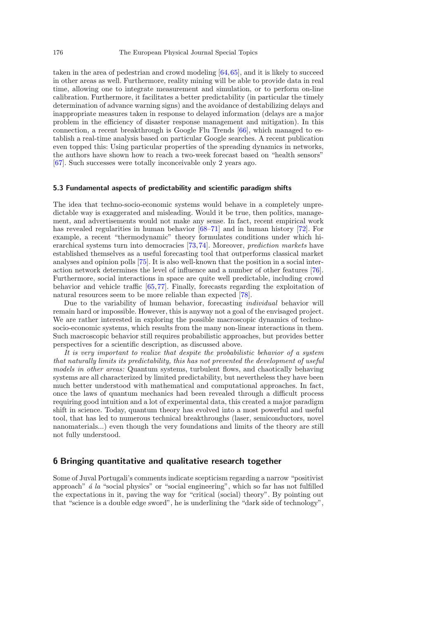taken in the area of pedestrian and crowd modeling [\[64](#page-22-1)[,65](#page-22-2)], and it is likely to succeed in other areas as well. Furthermore, reality mining will be able to provide data in real time, allowing one to integrate measurement and simulation, or to perform on-line calibration. Furthermore, it facilitates a better predictability (in particular the timely determination of advance warning signs) and the avoidance of destabilizing delays and inappropriate measures taken in response to delayed information (delays are a major problem in the efficiency of disaster response management and mitigation). In this connection, a recent breakthrough is Google Flu Trends [\[66\]](#page-22-3), which managed to establish a real-time analysis based on particular Google searches. A recent publication even topped this: Using particular properties of the spreading dynamics in networks, the authors have shown how to reach a two-week forecast based on "health sensors" [\[67\]](#page-22-4). Such successes were totally inconceivable only 2 years ago.

#### 5.3 Fundamental aspects of predictability and scientific paradigm shifts

The idea that techno-socio-economic systems would behave in a completely unpredictable way is exaggerated and misleading. Would it be true, then politics, management, and advertisements would not make any sense. In fact, recent empirical work has revealed regularities in human behavior  $[68-71]$  $[68-71]$  and in human history [\[72\]](#page-22-7). For example, a recent "thermodynamic" theory formulates conditions under which hierarchical systems turn into democracies [\[73](#page-22-8)[,74](#page-22-9)]. Moreover, prediction markets have established themselves as a useful forecasting tool that outperforms classical market analyses and opinion polls [\[75](#page-22-10)]. It is also well-known that the position in a social interaction network determines the level of influence and a number of other features [\[76](#page-22-11)]. Furthermore, social interactions in space are quite well predictable, including crowd behavior and vehicle traffic [\[65](#page-22-2),[77\]](#page-22-12). Finally, forecasts regarding the exploitation of natural resources seem to be more reliable than expected [\[78](#page-22-13)].

Due to the variability of human behavior, forecasting *individual* behavior will remain hard or impossible. However, this is anyway not a goal of the envisaged project. We are rather interested in exploring the possible macroscopic dynamics of technosocio-economic systems, which results from the many non-linear interactions in them. Such macroscopic behavior still requires probabilistic approaches, but provides better perspectives for a scientific description, as discussed above.

It is very important to realize that despite the probabilistic behavior of a system that naturally limits its predictability, this has not prevented the development of useful models in other areas: Quantum systems, turbulent flows, and chaotically behaving systems are all characterized by limited predictability, but nevertheless they have been much better understood with mathematical and computational approaches. In fact, once the laws of quantum mechanics had been revealed through a difficult process requiring good intuition and a lot of experimental data, this created a major paradigm shift in science. Today, quantum theory has evolved into a most powerful and useful tool, that has led to numerous technical breakthroughs (laser, semiconductors, novel nanomaterials...) even though the very foundations and limits of the theory are still not fully understood.

### <span id="page-12-0"></span>6 Bringing quantitative and qualitative research together

Some of Juval Portugali's comments indicate scepticism regarding a narrow "positivist approach"  $\acute{a}$  la "social physics" or "social engineering", which so far has not fulfilled the expectations in it, paving the way for "critical (social) theory". By pointing out that "science is a double edge sword", he is underlining the "dark side of technology",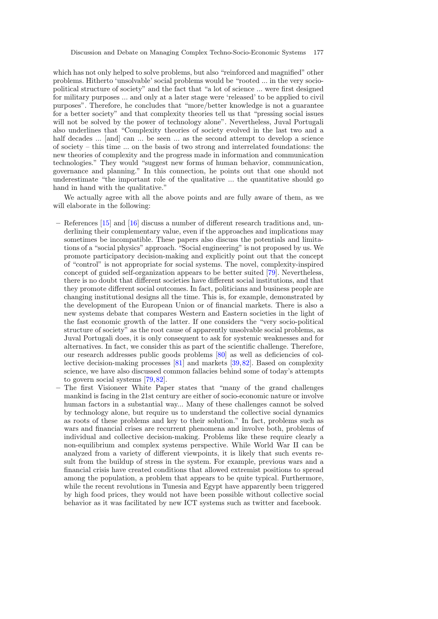which has not only helped to solve problems, but also "reinforced and magnified" other problems. Hitherto 'unsolvable' social problems would be "rooted ... in the very sociopolitical structure of society" and the fact that "a lot of science ... were first designed for military purposes ... and only at a later stage were 'released' to be applied to civil purposes". Therefore, he concludes that "more/better knowledge is not a guarantee for a better society" and that complexity theories tell us that "pressing social issues will not be solved by the power of technology alone". Nevertheless, Juval Portugali also underlines that "Complexity theories of society evolved in the last two and a half decades ... [and] can ... be seen ... as the second attempt to develop a science of society – this time ... on the basis of two strong and interrelated foundations: the new theories of complexity and the progress made in information and communication technologies." They would "suggest new forms of human behavior, communication, governance and planning." In this connection, he points out that one should not underestimate "the important role of the qualitative ... the quantitative should go hand in hand with the qualitative."

We actually agree with all the above points and are fully aware of them, as we will elaborate in the following:

- $-$  References [\[15\]](#page-20-14) and [\[16](#page-20-15)] discuss a number of different research traditions and, underlining their complementary value, even if the approaches and implications may sometimes be incompatible. These papers also discuss the potentials and limitations of a "social physics" approach. "Social engineering" is not proposed by us. We promote participatory decision-making and explicitly point out that the concept of "control" is not appropriate for social systems. The novel, complexity-inspired concept of guided self-organization appears to be better suited [\[79](#page-22-14)]. Nevertheless, there is no doubt that different societies have different social institutions, and that they promote different social outcomes. In fact, politicians and business people are changing institutional designs all the time. This is, for example, demonstrated by the development of the European Union or of financial markets. There is also a new systems debate that compares Western and Eastern societies in the light of the fast economic growth of the latter. If one considers the "very socio-political structure of society" as the root cause of apparently unsolvable social problems, as Juval Portugali does, it is only consequent to ask for systemic weaknesses and for alternatives. In fact, we consider this as part of the scientific challenge. Therefore, our research addresses public goods problems [\[80\]](#page-22-15) as well as deficiencies of collective decision-making processes [\[81\]](#page-22-16) and markets [\[39](#page-21-11)[,82\]](#page-22-17). Based on complexity science, we have also discussed common fallacies behind some of today's attempts to govern social systems [\[79](#page-22-14),[82\]](#page-22-17).
- The first Visioneer White Paper states that "many of the grand challenges mankind is facing in the 21st century are either of socio-economic nature or involve human factors in a substantial way... Many of these challenges cannot be solved by technology alone, but require us to understand the collective social dynamics as roots of these problems and key to their solution." In fact, problems such as wars and financial crises are recurrent phenomena and involve both, problems of individual and collective decision-making. Problems like these require clearly a non-equilibrium and complex systems perspective. While World War II can be analyzed from a variety of different viewpoints, it is likely that such events result from the buildup of stress in the system. For example, previous wars and a financial crisis have created conditions that allowed extremist positions to spread among the population, a problem that appears to be quite typical. Furthermore, while the recent revolutions in Tunesia and Egypt have apparently been triggered by high food prices, they would not have been possible without collective social behavior as it was facilitated by new ICT systems such as twitter and facebook.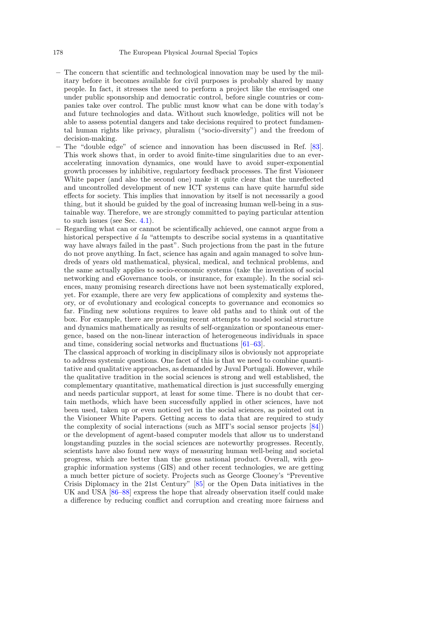- The concern that scientific and technological innovation may be used by the military before it becomes available for civil purposes is probably shared by many people. In fact, it stresses the need to perform a project like the envisaged one under public sponsorship and democratic control, before single countries or companies take over control. The public must know what can be done with today's and future technologies and data. Without such knowledge, politics will not be able to assess potential dangers and take decisions required to protect fundamental human rights like privacy, pluralism ("socio-diversity") and the freedom of decision-making.
- The "double edge" of science and innovation has been discussed in Ref. [\[83](#page-22-18)]. This work shows that, in order to avoid finite-time singularities due to an everaccelerating innovation dynamics, one would have to avoid super-exponential growth processes by inhibitive, regulartory feedback processes. The first Visioneer White paper (and also the second one) make it quite clear that the unreflected and uncontrolled development of new ICT systems can have quite harmful side effects for society. This implies that innovation by itself is not necessarily a good thing, but it should be guided by the goal of increasing human well-being in a sustainable way. Therefore, we are strongly committed to paying particular attention to such issues (see Sec. [4.1\)](#page-4-0).
- Regarding what can or cannot be scientifically achieved, one cannot argue from a historical perspective  $\acute{a}$  la "attempts to describe social systems in a quantitative way have always failed in the past". Such projections from the past in the future do not prove anything. In fact, science has again and again managed to solve hundreds of years old mathematical, physical, medical, and technical problems, and the same actually applies to socio-economic systems (take the invention of social networking and eGovernance tools, or insurance, for example). In the social sciences, many promising research directions have not been systematically explored, yet. For example, there are very few applications of complexity and systems theory, or of evolutionary and ecological concepts to governance and economics so far. Finding new solutions requires to leave old paths and to think out of the box. For example, there are promising recent attempts to model social structure and dynamics mathematically as results of self-organization or spontaneous emergence, based on the non-linear interaction of heterogeneous individuals in space and time, considering social networks and fluctuations [\[61](#page-21-31)[–63\]](#page-22-0).

The classical approach of working in disciplinary silos is obviously not appropriate to address systemic questions. One facet of this is that we need to combine quantitative and qualitative approaches, as demanded by Juval Portugali. However, while the qualitative tradition in the social sciences is strong and well established, the complementary quantitative, mathematical direction is just successfully emerging and needs particular support, at least for some time. There is no doubt that certain methods, which have been successfully applied in other sciences, have not been used, taken up or even noticed yet in the social sciences, as pointed out in the Visioneer White Papers. Getting access to data that are required to study the complexity of social interactions (such as MIT's social sensor projects [\[84\]](#page-22-19)) or the development of agent-based computer models that allow us to understand longstanding puzzles in the social sciences are noteworthy progresses. Recently, scientists have also found new ways of measuring human well-being and societal progress, which are better than the gross national product. Overall, with geographic information systems (GIS) and other recent technologies, we are getting a much better picture of society. Projects such as George Clooney's "Preventive Crisis Diplomacy in the 21st Century" [\[85\]](#page-22-20) or the Open Data initiatives in the UK and USA [\[86](#page-22-21)[–88\]](#page-22-22) express the hope that already observation itself could make a difference by reducing conflict and corruption and creating more fairness and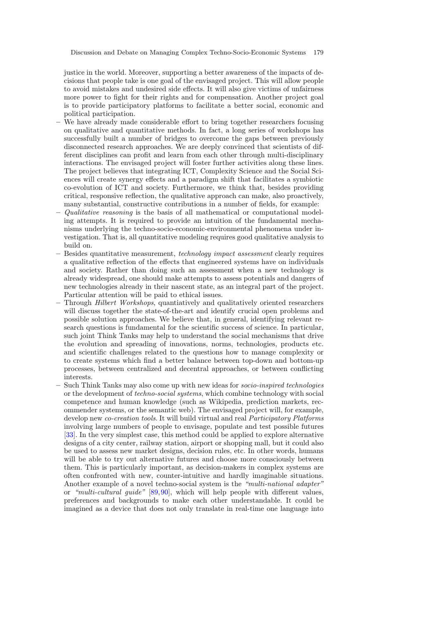justice in the world. Moreover, supporting a better awareness of the impacts of decisions that people take is one goal of the envisaged project. This will allow people to avoid mistakes and undesired side effects. It will also give victims of unfairness more power to fight for their rights and for compensation. Another project goal is to provide participatory platforms to facilitate a better social, economic and political participation.

- We have already made considerable effort to bring together researchers focusing on qualitative and quantitative methods. In fact, a long series of workshops has successfully built a number of bridges to overcome the gaps between previously disconnected research approaches. We are deeply convinced that scientists of different disciplines can profit and learn from each other through multi-disciplinary interactions. The envisaged project will foster further activities along these lines. The project believes that integrating ICT, Complexity Science and the Social Sciences will create synergy effects and a paradigm shift that facilitates a symbiotic co-evolution of ICT and society. Furthermore, we think that, besides providing critical, responsive reflection, the qualitative approach can make, also proactively, many substantial, constructive contributions in a number of fields, for example:
- Qualitative reasoning is the basis of all mathematical or computational modeling attempts. It is required to provide an intuition of the fundamental mechanisms underlying the techno-socio-economic-environmental phenomena under investigation. That is, all quantitative modeling requires good qualitative analysis to build on.
- Besides quantitative measurement, technology impact assessment clearly requires a qualitative reflection of the effects that engineered systems have on individuals and society. Rather than doing such an assessment when a new technology is already widespread, one should make attempts to assess potentials and dangers of new technologies already in their nascent state, as an integral part of the project. Particular attention will be paid to ethical issues.
- Through Hilbert Workshops, quantiatively and qualitatively oriented researchers will discuss together the state-of-the-art and identify crucial open problems and possible solution approaches. We believe that, in general, identifying relevant research questions is fundamental for the scientific success of science. In particular, such joint Think Tanks may help to understand the social mechanisms that drive the evolution and spreading of innovations, norms, technologies, products etc. and scientific challenges related to the questions how to manage complexity or to create systems which find a better balance between top-down and bottom-up processes, between centralized and decentral approaches, or between conflicting interests.
- Such Think Tanks may also come up with new ideas for socio-inspired technologies or the development of techno-social systems, which combine technology with social competence and human knowledge (such as Wikipedia, prediction markets, recommender systems, or the semantic web). The envisaged project will, for example, develop new co-creation tools. It will build virtual and real Participatory Platforms involving large numbers of people to envisage, populate and test possible futures [\[33\]](#page-21-6). In the very simplest case, this method could be applied to explore alternative designs of a city center, railway station, airport or shopping mall, but it could also be used to assess new market designs, decision rules, etc. In other words, humans will be able to try out alternative futures and choose more consciously between them. This is particularly important, as decision-makers in complex systems are often confronted with new, counter-intuitive and hardly imaginable situations. Another example of a novel techno-social system is the "multi-national adapter" or "multi-cultural guide" [\[89](#page-22-23)[,90](#page-22-24)], which will help people with different values, preferences and backgrounds to make each other understandable. It could be imagined as a device that does not only translate in real-time one language into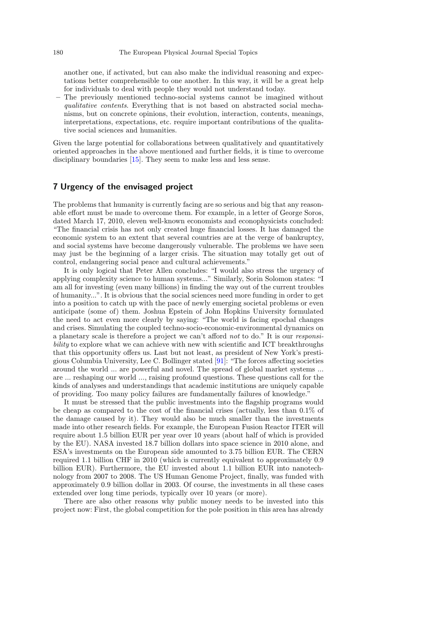another one, if activated, but can also make the individual reasoning and expectations better comprehensible to one another. In this way, it will be a great help for individuals to deal with people they would not understand today.

– The previously mentioned techno-social systems cannot be imagined without qualitative contents. Everything that is not based on abstracted social mechanisms, but on concrete opinions, their evolution, interaction, contents, meanings, interpretations, expectations, etc. require important contributions of the qualitative social sciences and humanities.

Given the large potential for collaborations between qualitatively and quantitatively oriented approaches in the above mentioned and further fields, it is time to overcome disciplinary boundaries [\[15\]](#page-20-14). They seem to make less and less sense.

# 7 Urgency of the envisaged project

The problems that humanity is currently facing are so serious and big that any reasonable effort must be made to overcome them. For example, in a letter of George Soros, dated March 17, 2010, eleven well-known economists and econophysicists concluded: "The financial crisis has not only created huge financial losses. It has damaged the economic system to an extent that several countries are at the verge of bankruptcy, and social systems have become dangerously vulnerable. The problems we have seen may just be the beginning of a larger crisis. The situation may totally get out of control, endangering social peace and cultural achievements."

It is only logical that Peter Allen concludes: "I would also stress the urgency of applying complexity science to human systems..." Similarly, Sorin Solomon states: "I am all for investing (even many billions) in finding the way out of the current troubles of humanity...". It is obvious that the social sciences need more funding in order to get into a position to catch up with the pace of newly emerging societal problems or even anticipate (some of) them. Joshua Epstein of John Hopkins University formulated the need to act even more clearly by saying: "The world is facing epochal changes and crises. Simulating the coupled techno-socio-economic-environmental dynamics on a planetary scale is therefore a project we can't afford not to do." It is our responsibility to explore what we can achieve with new with scientific and ICT breakthroughs that this opportunity offers us. Last but not least, as president of New York's prestigious Columbia University, Lee C. Bollinger stated [\[91](#page-22-25)]: "The forces affecting societies around the world ... are powerful and novel. The spread of global market systems ... are ... reshaping our world ..., raising profound questions. These questions call for the kinds of analyses and understandings that academic institutions are uniquely capable of providing. Too many policy failures are fundamentally failures of knowledge."

It must be stressed that the public investments into the flagship programs would be cheap as compared to the cost of the financial crises (actually, less than 0.1% of the damage caused by it). They would also be much smaller than the investments made into other research fields. For example, the European Fusion Reactor ITER will require about 1.5 billion EUR per year over 10 years (about half of which is provided by the EU). NASA invested 18.7 billion dollars into space science in 2010 alone, and ESA's investments on the European side amounted to 3.75 billion EUR. The CERN required 1.1 billion CHF in 2010 (which is currently equivalent to approximately 0.9 billion EUR). Furthermore, the EU invested about 1.1 billion EUR into nanotechnology from 2007 to 2008. The US Human Genome Project, finally, was funded with approximately 0.9 billion dollar in 2003. Of course, the investments in all these cases extended over long time periods, typically over 10 years (or more).

There are also other reasons why public money needs to be invested into this project now: First, the global competition for the pole position in this area has already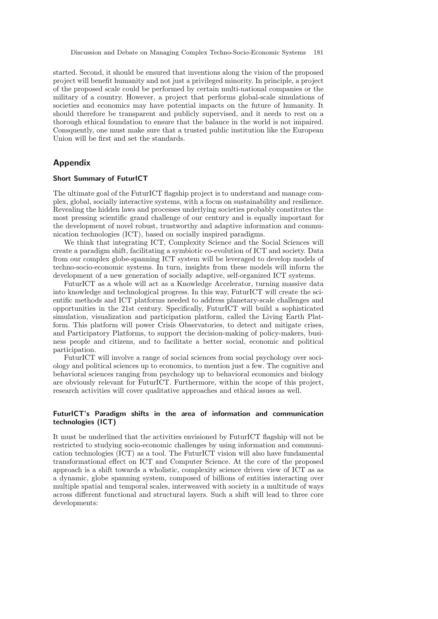started. Second, it should be ensured that inventions along the vision of the proposed project will benefit humanity and not just a privileged minority. In principle, a project of the proposed scale could be performed by certain multi-national companies or the military of a country. However, a project that performs global-scale simulations of societies and economics may have potential impacts on the future of humanity. It should therefore be transparent and publicly supervised, and it needs to rest on a thorough ethical foundation to ensure that the balance in the world is not impaired. Consquently, one must make sure that a trusted public institution like the European Union will be first and set the standards.

# Appendix

#### Short Summary of FuturICT

The ultimate goal of the FuturICT flagship project is to understand and manage complex, global, socially interactive systems, with a focus on sustainability and resilience. Revealing the hidden laws and processes underlying societies probably constitutes the most pressing scientific grand challenge of our century and is equally important for the development of novel robust, trustworthy and adaptive information and communication technologies (ICT), based on socially inspired paradigms.

We think that integrating ICT, Complexity Science and the Social Sciences will create a paradigm shift, facilitating a symbiotic co-evolution of ICT and society. Data from our complex globe-spanning ICT system will be leveraged to develop models of techno-socio-economic systems. In turn, insights from these models will inform the development of a new generation of socially adaptive, self-organized ICT systems.

FuturICT as a whole will act as a Knowledge Accelerator, turning massive data into knowledge and technological progress. In this way, FuturICT will create the scientific methods and ICT platforms needed to address planetary-scale challenges and opportunities in the 21st century. Specifically, FuturICT will build a sophisticated simulation, visualization and participation platform, called the Living Earth Platform. This platform will power Crisis Observatories, to detect and mitigate crises, and Participatory Platforms, to support the decision-making of policy-makers, business people and citizens, and to facilitate a better social, economic and political participation.

FuturICT will involve a range of social sciences from social psychology over sociology and political sciences up to economics, to mention just a few. The cognitive and behavioral sciences ranging from psychology up to behavioral economics and biology are obviously relevant for FuturICT. Furthermore, within the scope of this project, research activities will cover qualitative approaches and ethical issues as well.

### FuturICT's Paradigm shifts in the area of information and communication technologies (ICT)

It must be underlined that the activities envisioned by FuturICT flagship will not be restricted to studying socio-economic challenges by using information and communication technologies (ICT) as a tool. The FuturICT vision will also have fundamental transformational effect on ICT and Computer Science. At the core of the proposed approach is a shift towards a wholistic, complexity science driven view of ICT as as a dynamic, globe spanning system, composed of billions of entities interacting over multiple spatial and temporal scales, interweaved with society in a multitude of ways across different functional and structural layers. Such a shift will lead to three core developments: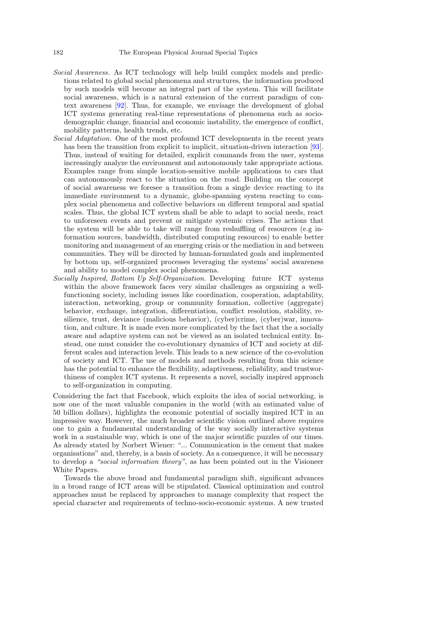- Social Awareness. As ICT technology will help build complex models and predictions related to global social phenomena and structures, the information produced by such models will become an integral part of the system. This will facilitate social awareness, which is a natural extension of the current paradigm of context awareness [\[92\]](#page-22-26). Thus, for example, we envisage the development of global ICT systems generating real-time representations of phenomena such as sociodemographic change, financial and economic instability, the emergence of conflict, mobility patterns, health trends, etc.
- Social Adaptation. One of the most profound ICT developments in the recent years has been the transition from explicit to implicit, situation-driven interaction [\[93](#page-22-27)]. Thus, instead of waiting for detailed, explicit commands from the user, systems increasingly analyze the environment and autonomously take appropriate actions. Examples range from simple location-sensitive mobile applications to cars that can autonomously react to the situation on the road. Building on the concept of social awareness we foresee a transition from a single device reacting to its immediate environment to a dynamic, globe-spanning system reacting to complex social phenomena and collective behaviors on different temporal and spatial scales. Thus, the global ICT system shall be able to adapt to social needs, react to unforeseen events and prevent or mitigate systemic crises. The actions that the system will be able to take will range from reshuffling of resources (e.g information sources, bandwidth, distributed computing resources) to enable better monitoring and management of an emerging crisis or the mediation in and between communities. They will be directed by human-formulated goals and implemented by bottom up, self-organized processes leveraging the systems' social awareness and ability to model complex social phenomena.
- Socially Inspired, Bottom Up Self-Organization. Developing future ICT systems within the above framework faces very similar challenges as organizing a wellfunctioning society, including issues like coordination, cooperation, adaptability, interaction, networking, group or community formation, collective (aggregate) behavior, exchange, integration, differentiation, conflict resolution, stability, resilience, trust, deviance (malicious behavior), (cyber)crime, (cyber)war, innovation, and culture. It is made even more complicated by the fact that the a socially aware and adaptive system can not be viewed as an isolated technical entity. Instead, one must consider the co-evolutionary dynamics of ICT and society at different scales and interaction levels. This leads to a new science of the co-evolution of society and ICT. The use of models and methods resulting from this science has the potential to enhance the flexibility, adaptiveness, reliability, and trustworthiness of complex ICT systems. It represents a novel, socially inspired approach to self-organization in computing.

Considering the fact that Facebook, which exploits the idea of social networking, is now one of the most valuable companies in the world (with an estimated value of 50 billion dollars), highlights the economic potential of socially inspired ICT in an impressive way. However, the much broader scientific vision outlined above requires one to gain a fundamental understanding of the way socially interactive systems work in a sustainable way, which is one of the major scientific puzzles of our times. As already stated by Norbert Wiener: "... Communication is the cement that makes organisations" and, thereby, is a basis of society. As a consequence, it will be necessary to develop a "social information theory", as has been pointed out in the Visioneer White Papers.

Towards the above broad and fundamental paradigm shift, significant advances in a broad range of ICT areas will be stipulated. Classical optimization and control approaches must be replaced by approaches to manage complexity that respect the special character and requirements of techno-socio-economic systems. A new trusted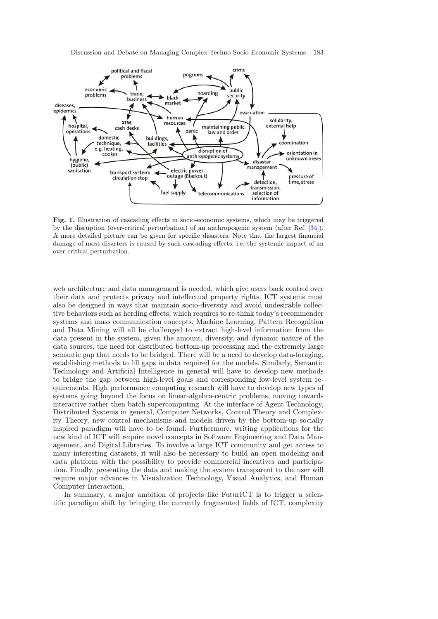<span id="page-19-0"></span>

Fig. 1. Illustration of cascading effects in socio-economic systems, which may be triggered by the disruption (over-critical perturbation) of an anthropogenic system (after Ref. [\[34\]](#page-21-32)). A more detailed picture can be given for specific disasters. Note that the largest financial damage of most disasters is caused by such cascading effects, i.e. the systemic impact of an over-critical perturbation.

web architecture and data management is needed, which give users back control over their data and protects privacy and intellectual property rights. ICT systems must also be designed in ways that maintain socio-diversity and avoid undesirable collective behaviors such as herding effects, which requires to re-think today's recommender systems and mass communication concepts. Machine Learning, Pattern Recognition and Data Mining will all be challenged to extract high-level information from the data present in the system, given the amount, diversity, and dynamic nature of the data sources, the need for distributed bottom-up processing and the extremely large semantic gap that needs to be bridged. There will be a need to develop data-foraging, establishing methods to fill gaps in data required for the models. Similarly, Semantic Technology and Artificial Intelligence in general will have to develop new methods to bridge the gap between high-level goals and corresponding low-level system requirements. High performance computing research will have to develop new types of systems going beyond the focus on linear-algebra-centric problems, moving towards interactive rather then batch supercomputing. At the interface of Agent Technology, Distributed Systems in general, Computer Networks, Control Theory and Complexity Theory, new control mechanisms and models driven by the bottom-up socially inspired paradigm will have to be found. Furthermore, writing applications for the new kind of ICT will require novel concepts in Software Engineering and Data Management, and Digital Libraries. To involve a large ICT community and get access to many interesting datasets, it will also be necessary to build an open modeling and data platform with the possibility to provide commercial incentives and participation. Finally, presenting the data and making the system transparent to the user will require major advances in Visualization Technology, Visual Analytics, and Human Computer Interaction.

In summary, a major ambition of projects like FuturICT is to trigger a scientific paradigm shift by bringing the currently fragmented fields of ICT, complexity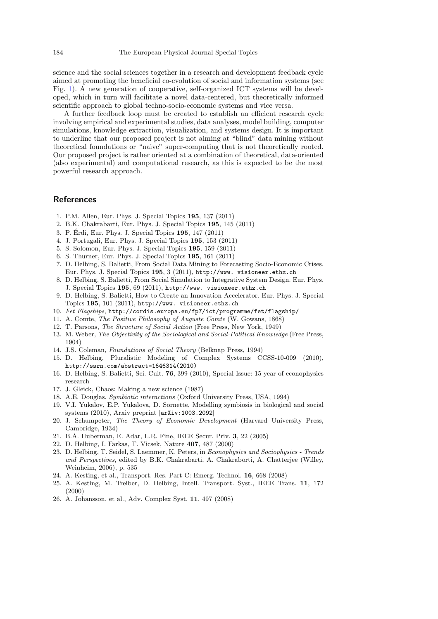science and the social sciences together in a research and development feedback cycle aimed at promoting the beneficial co-evolution of social and information systems (see Fig. [1\)](#page-19-0). A new generation of cooperative, self-organized ICT systems will be developed, which in turn will facilitate a novel data-centered, but theoretically informed scientific approach to global techno-socio-economic systems and vice versa.

A further feedback loop must be created to establish an efficient research cycle involving empirical and experimental studies, data analyses, model building, computer simulations, knowledge extraction, visualization, and systems design. It is important to underline that our proposed project is not aiming at "blind" data mining without theoretical foundations or "naive" super-computing that is not theoretically rooted. Our proposed project is rather oriented at a combination of theoretical, data-oriented (also experimental) and computational research, as this is expected to be the most powerful research approach.

# <span id="page-20-0"></span>References

- 1. P.M. Allen, Eur. Phys. J. Special Topics 195, 137 (2011)
- <span id="page-20-1"></span>2. B.K. Chakrabarti, Eur. Phys. J. Special Topics 195, 145 (2011)
- <span id="page-20-3"></span><span id="page-20-2"></span>3. P. Érdi, Eur. Phys. J. Special Topics **195**, 147 (2011)
- 4. J. Portugali, Eur. Phys. J. Special Topics 195, 153 (2011)
- <span id="page-20-4"></span>5. S. Solomon, Eur. Phys. J. Special Topics 195, 159 (2011)
- <span id="page-20-5"></span>6. S. Thurner, Eur. Phys. J. Special Topics 195, 161 (2011)
- <span id="page-20-6"></span>7. D. Helbing, S. Balietti, From Social Data Mining to Forecasting Socio-Economic Crises. Eur. Phys. J. Special Topics 195, 3 (2011), http://www. visioneer.ethz.ch
- <span id="page-20-7"></span>8. D. Helbing, S. Balietti, From Social Simulation to Integrative System Design. Eur. Phys. J. Special Topics 195, 69 (2011), http://www. visioneer.ethz.ch
- <span id="page-20-8"></span>9. D. Helbing, S. Balietti, How to Create an Innovation Accelerator. Eur. Phys. J. Special Topics 195, 101 (2011), http://www. visioneer.ethz.ch
- <span id="page-20-9"></span>10. Fet Flagships, http://cordis.europa.eu/fp7/ict/programme/fet/flagship/
- <span id="page-20-10"></span>11. A. Comte, The Positive Philosophy of Auguste Comte (W. Gowans, 1868)
- <span id="page-20-11"></span>12. T. Parsons, The Structure of Social Action (Free Press, New York, 1949)
- <span id="page-20-12"></span>13. M. Weber, The Objectivity of the Sociological and Social-Political Knowledge (Free Press, 1904)
- <span id="page-20-13"></span>14. J.S. Coleman, Foundations of Social Theory (Belknap Press, 1994)
- <span id="page-20-14"></span>15. D. Helbing, Pluralistic Modeling of Complex Systems CCSS-10-009 (2010), http://ssrn.com/abstract=1646314(2010)
- <span id="page-20-15"></span>16. D. Helbing, S. Balietti, Sci. Cult. 76, 399 (2010), Special Issue: 15 year of econophysics research
- <span id="page-20-16"></span>17. J. Gleick, Chaos: Making a new science (1987)
- <span id="page-20-17"></span>18. A.E. Douglas, Symbiotic interactions (Oxford University Press, USA, 1994)
- <span id="page-20-18"></span>19. V.I. Yukalov, E.P. Yukalova, D. Sornette, Modelling symbiosis in biological and social systems (2010), Arxiv preprint [arXiv:1003.2092]
- <span id="page-20-19"></span>20. J. Schumpeter, The Theory of Economic Development (Harvard University Press, Cambridge, 1934)
- <span id="page-20-20"></span>21. B.A. Huberman, E. Adar, L.R. Fine, IEEE Secur. Priv. 3, 22 (2005)
- <span id="page-20-21"></span>22. D. Helbing, I. Farkas, T. Vicsek, Nature 407, 487 (2000)
- <span id="page-20-22"></span>23. D. Helbing, T. Seidel, S. Laemmer, K. Peters, in Econophysics and Sociophysics - Trends and Perspectives, edited by B.K. Chakrabarti, A. Chakraborti, A. Chatterjee (Willey, Weinheim, 2006), p. 535
- <span id="page-20-23"></span>24. A. Kesting, et al., Transport. Res. Part C: Emerg. Technol. 16, 668 (2008)
- <span id="page-20-24"></span>25. A. Kesting, M. Treiber, D. Helbing, Intell. Transport. Syst., IEEE Trans. 11, 172  $(2000)$
- <span id="page-20-25"></span>26. A. Johansson, et al., Adv. Complex Syst. 11, 497 (2008)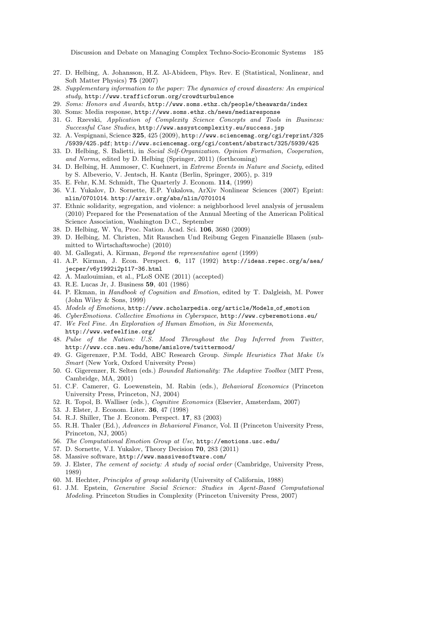Discussion and Debate on Managing Complex Techno-Socio-Economic Systems 185

- <span id="page-21-0"></span>27. D. Helbing, A. Johansson, H.Z. Al-Abideen, Phys. Rev. E (Statistical, Nonlinear, and Soft Matter Physics) 75 (2007)
- <span id="page-21-1"></span>28. Supplementary information to the paper: The dynamics of crowd disasters: An empirical study, http://www.trafficforum.org/crowdturbulence
- <span id="page-21-2"></span>29. Soms: Honors and Awards, http://www.soms.ethz.ch/people/theawards/index
- <span id="page-21-3"></span>30. Soms: Media response, http://www.soms.ethz.ch/news/mediaresponse
- <span id="page-21-4"></span>31. G. Rzevski, Application of Complexity Science Concepts and Tools in Business: Successful Case Studies, http://www.assystcomplexity.eu/success.jsp
- <span id="page-21-5"></span>32. A. Vespignani, Science 325, 425 (2009), http://www.sciencemag.org/cgi/reprint/325 /5939/425.pdf; http://www.sciencemag.org/cgi/content/abstract/325/5939/425
- <span id="page-21-6"></span>33. D. Helbing, S. Balietti, in Social Self-Organization. Opinion Formation, Cooperation, and Norms, edited by D. Helbing (Springer, 2011) (forthcoming)
- <span id="page-21-32"></span>34. D. Helbing, H. Ammoser, C. Kuehnert, in Extreme Events in Nature and Society, edited by S. Albeverio, V. Jentsch, H. Kantz (Berlin, Springer, 2005), p. 319
- <span id="page-21-7"></span>35. E. Fehr, K.M. Schmidt, The Quarterly J. Econom. 114, (1999)
- <span id="page-21-8"></span>36. V.I. Yukalov, D. Sornette, E.P. Yukalova, ArXiv Nonlinear Sciences (2007) Eprint: nlin/0701014. http://arxiv.org/abs/nlin/0701014
- <span id="page-21-9"></span>37. Ethnic solidarity, segregation, and violence: a neighborhood level analysis of jerusalem (2010) Prepared for the Presenatation of the Annual Meeting of the American Political Science Association, Washington D.C., September
- <span id="page-21-10"></span>38. D. Helbing, W. Yu, Proc. Nation. Acad. Sci. 106, 3680 (2009)
- <span id="page-21-11"></span>39. D. Helbing, M. Christen, Mit Rauschen Und Reibung Gegen Finanzielle Blasen (submitted to Wirtschaftswoche) (2010)
- <span id="page-21-12"></span>40. M. Gallegati, A. Kirman, Beyond the representative agent (1999)
- <span id="page-21-13"></span>41. A.P. Kirman, J. Econ. Perspect. 6, 117 (1992) http://ideas.repec.org/a/aea/ jecper/v6y1992i2p117-36.html
- <span id="page-21-14"></span>42. A. Mazlouimian, et al., PLoS ONE (2011) (accepted)
- <span id="page-21-15"></span>43. R.E. Lucas Jr, J. Business 59, 401 (1986)
- <span id="page-21-16"></span>44. P. Ekman, in Handbook of Cognition and Emotion, edited by T. Dalgleish, M. Power (John Wiley & Sons, 1999)
- <span id="page-21-17"></span>45. Models of Emotions, http://www.scholarpedia.org/article/Models of emotion
- <span id="page-21-18"></span>46. CyberEmotions. Collective Emotions in Cyberspace, http://www.cyberemotions.eu/
- 47. We Feel Fine. An Exploration of Human Emotion, in Six Movements, http://www.wefeelfine.org/
- <span id="page-21-19"></span>48. Pulse of the Nation: U.S. Mood Throughout the Day Inferred from Twitter, http://www.ccs.neu.edu/home/amislove/twittermood/
- <span id="page-21-20"></span>49. G. Gigerenzer, P.M. Todd, ABC Research Group. Simple Heuristics That Make Us Smart (New York, Oxford University Press)
- <span id="page-21-21"></span>50. G. Gigerenzer, R. Selten (eds.) Bounded Rationality: The Adaptive Toolbox (MIT Press, Cambridge, MA, 2001)
- <span id="page-21-22"></span>51. C.F. Camerer, G. Loewenstein, M. Rabin (eds.), Behavioral Economics (Princeton University Press, Princeton, NJ, 2004)
- 52. R. Topol, B. Walliser (eds.), Cognitive Economics (Elsevier, Amsterdam, 2007)
- <span id="page-21-23"></span>53. J. Elster, J. Econom. Liter. 36, 47 (1998)
- <span id="page-21-24"></span>54. R.J. Shiller, The J. Econom. Perspect. 17, 83 (2003)
- <span id="page-21-25"></span>55. R.H. Thaler (Ed.), Advances in Behavioral Finance, Vol. II (Princeton University Press, Princeton, NJ, 2005)
- <span id="page-21-26"></span>56. The Computational Emotion Group at Usc, http://emotions.usc.edu/
- <span id="page-21-27"></span>57. D. Sornette, V.I. Yukalov, Theory Decision 70, 283 (2011)
- <span id="page-21-28"></span>58. Massive software, http://www.massivesoftware.com/
- <span id="page-21-29"></span>59. J. Elster, The cement of society: A study of social order (Cambridge, University Press, 1989)
- <span id="page-21-30"></span>60. M. Hechter, Principles of group solidarity (University of California, 1988)
- <span id="page-21-31"></span>61. J.M. Epstein, Generative Social Science: Studies in Agent-Based Computational Modeling. Princeton Studies in Complexity (Princeton University Press, 2007)